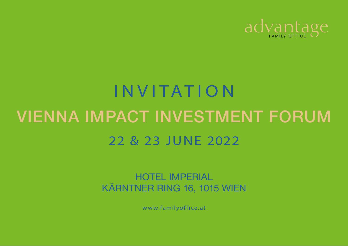

# INVITATION 22 & 23 JUNE 2022 VIENNA IMPACT INVESTMENT FORUM

HOTEL IMPERIAL KÄRNTNER RING 16, 1015 WIEN

[www.familyoffice.at](https://www.familyofficeday.at)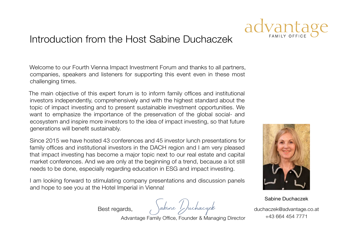#### Introduction from the Host Sabine Duchaczek

Welcome to our Fourth Vienna Impact Investment Forum and thanks to all partners, companies, speakers and listeners for supporting this event even in these most challenging times.

The main objective of this expert forum is to inform family offices and institutional investors independently, comprehensively and with the highest standard about the topic of impact investing and to present sustainable investment opportunities. We want to emphasize the importance of the preservation of the global social- and ecosystem and inspire more investors to the idea of impact investing, so that future generations will benefit sustainably.

Since 2015 we have hosted 43 conferences and 45 investor lunch presentations for family offices and institutional investors in the DACH region and I am very pleased that impact investing has become a major topic next to our real estate and capital market conferences. And we are only at the beginning of a trend, because a lot still needs to be done, especially regarding education in ESG and impact investing.

I am looking forward to stimulating company presentations and discussion panels and hope to see you at the Hotel Imperial in Vienna!

Best regards, Sabine Duchaczek

Sabine Duchaczek

[duchaczek@advantage.co.at](mailto:duchaczek%40advantage.co.at%0D?subject=) +43 664 454 7771

Advantage Family Office, Founder & Managing Director

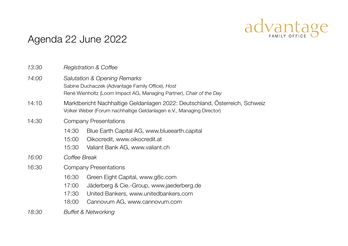### Agenda 22 June 2022

|                       | 13:30 | <b>Registration &amp; Coffee</b>                                                                                                                                                            |  |  |
|-----------------------|-------|---------------------------------------------------------------------------------------------------------------------------------------------------------------------------------------------|--|--|
|                       | 14:00 | <b>Salutation &amp; Opening Remarks</b><br>Sabine Duchaczek (Advantage Family Office), Host<br>René Wienholtz (Loom Impact AG, Managing Partner), Chair of the Day                          |  |  |
|                       | 14:10 | Marktbericht Nachhaltige Geldanlagen 2022: Deutschland, Österreich, Schweiz<br>Volker Weber (Forum nachhaltige Geldanlagen e.V., Managing Director)                                         |  |  |
|                       | 14:30 | Company Presentations                                                                                                                                                                       |  |  |
|                       |       | Blue Earth Capital AG, www.blueearth.capital<br>14:30<br>15:00<br>Oikocredit, www.oikocredit.at<br>Valiant Bank AG, www.valiant.ch<br>15:30                                                 |  |  |
| 16:00<br>Coffee Break |       |                                                                                                                                                                                             |  |  |
|                       | 16:30 | Company Presentations                                                                                                                                                                       |  |  |
|                       |       | Green Eight Capital, www.g8c.com<br>16:30<br>17:00<br>Jäderberg & Cie.-Group, www.jaederberg.de<br>17:30<br>United Bankers, www.unitedbankers.com<br>18:00<br>Cannovum AG, www.cannovum.com |  |  |
|                       | 18:30 | Buffet & Networking                                                                                                                                                                         |  |  |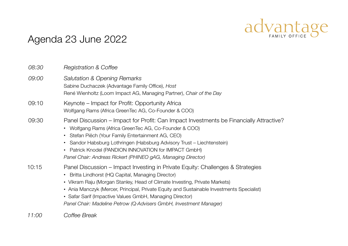### Agenda 23 June 2022

| 08:30 | <b>Registration &amp; Coffee</b>                                                                                                                                                                                                                                                                                                                                                                                                                |
|-------|-------------------------------------------------------------------------------------------------------------------------------------------------------------------------------------------------------------------------------------------------------------------------------------------------------------------------------------------------------------------------------------------------------------------------------------------------|
| 09:00 | <b>Salutation &amp; Opening Remarks</b><br>Sabine Duchaczek (Advantage Family Office), Host<br>René Wienholtz (Loom Impact AG, Managing Partner), Chair of the Day                                                                                                                                                                                                                                                                              |
| 09:10 | Keynote – Impact for Profit: Opportunity Africa<br>Wolfgang Rams (Africa GreenTec AG, Co-Founder & COO)                                                                                                                                                                                                                                                                                                                                         |
| 09:30 | Panel Discussion – Impact for Profit: Can Impact Investments be Financially Attractive?<br>• Wolfgang Rams (Africa GreenTec AG, Co-Founder & COO)<br>Stefan Piëch (Your Family Entertainment AG, CEO)<br>Sandor Habsburg Lothringen (Habsburg Advisory Trust – Liechtenstein)<br>• Patrick Knodel (PANDION INNOVATION for IMPACT GmbH)<br>Panel Chair: Andreas Rickert (PHINEO gAG, Managing Director)                                          |
| 10:15 | Panel Discussion – Impact Investing in Private Equity: Challenges & Strategies<br>Britta Lindhorst (HQ Capital, Managing Director)<br>• Vikram Raju (Morgan Stanley, Head of Climate Investing, Private Markets)<br>• Ania Manczyk (Mercer, Principal, Private Equity and Sustainable Investments Specialist)<br>• Safar Sarif (Impactive Values GmbH, Managing Director)<br>Panel Chair: Madeline Petrow (Q Advisers GmbH, Investment Manager) |
| 11:00 | Coffee Break                                                                                                                                                                                                                                                                                                                                                                                                                                    |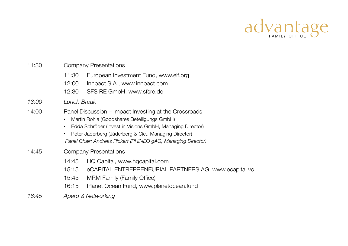#### 11:30 Company Presentations

- 11:30 European Investment Fund, [www.eif.org](https://www.eif.org)
- 12:00 Innpact S.A., [www.innpact.com](https://www.innpact.com)
- 12:30 SFS RE GmbH, [www.sfsre.de](https://www.sfsre.de)

#### *13:00 Lunch Break*

- 14:00 Panel Discussion Impact Investing at the Crossroads
	- Martin Rohla (Goodshares Beteiligungs GmbH)
	- Edda Schröder (Invest in Visions GmbH, Managing Director)
	- Peter Jäderberg (Jäderberg & Cie., Managing Director)  *Panel Chair: Andreas Rickert (PHINEO gAG, Managing Director)*

#### 14:45 Company Presentations

- 14:45 HQ Capital, [www.hqcapital.com](https://www.hqcapital.com/en)
- 15:15 eCAPITAL ENTREPRENEURIAL PARTNERS AG, [www.ecapital.vc](https://ecapital.vc)
- 15:45 MRM Family (Family Office)
- 16:15 Planet Ocean Fund, [www.planetocean.fund](https://planetocean.fund)
- *16:45 Apero & Networking*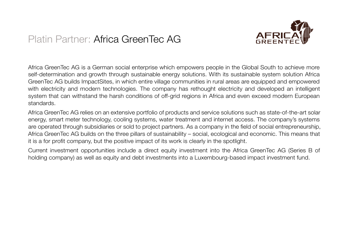#### Platin Partner: Africa GreenTec AG



Africa GreenTec AG is a German social enterprise which empowers people in the Global South to achieve more self-determination and growth through sustainable energy solutions. With its sustainable system solution Africa GreenTec AG builds ImpactSites, in which entire village communities in rural areas are equipped and empowered with electricity and modern technologies. The company has rethought electricity and developed an intelligent system that can withstand the harsh conditions of off-grid regions in Africa and even exceed modern European standards.

Africa GreenTec AG relies on an extensive portfolio of products and service solutions such as state-of-the-art solar energy, smart meter technology, cooling systems, water treatment and internet access. The company's systems are operated through subsidiaries or sold to project partners. As a company in the field of social entrepreneurship, Africa GreenTec AG builds on the three pillars of sustainability – social, ecological and economic. This means that it is a for profit company, but the positive impact of its work is clearly in the spotlight.

Current investment opportunities include a direct equity investment into the Africa GreenTec AG (Series B of holding company) as well as equity and debt investments into a Luxembourg-based impact investment fund.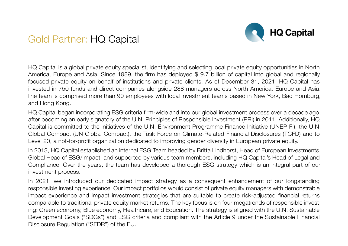

#### Gold Partner: HQ Capital

HQ Capital is a global private equity specialist, identifying and selecting local private equity opportunities in North America, Europe and Asia. Since 1989, the firm has deployed \$ 9.7 billion of capital into global and regionally focused private equity on behalf of institutions and private clients. As of December 31, 2021, HQ Capital has invested in 750 funds and direct companies alongside 288 managers across North America, Europe and Asia. The team is comprised more than 90 employees with local investment teams based in New York, Bad Homburg, and Hong Kong.

HQ Capital began incorporating ESG criteria firm-wide and into our global investment process over a decade ago, after becoming an early signatory of the U.N. Principles of Responsible Investment (PRI) in 2011. Additionally, HQ Capital is committed to the initiatives of the U.N. Environment Programme Finance Initiative (UNEP FI), the U.N. Global Compact (UN Global Compact), the Task Force on Climate-Related Financial Disclosures (TCFD) and to Level 20, a not-for-profit organization dedicated to improving gender diversity in European private equity.

In 2013, HQ Capital established an internal ESG Team headed by Britta Lindhorst, Head of European Investments, Global Head of ESG/Impact, and supported by various team members, including HQ Capital's Head of Legal and Compliance. Over the years, the team has developed a thorough ESG strategy which is an integral part of our investment process.

In 2021, we introduced our dedicated impact strategy as a consequent enhancement of our longstanding responsible investing experience. Our impact portfolios would consist of private equity managers with demonstrable impact experience and impact investment strategies that are suitable to create risk-adjusted financial returns comparable to traditional private equity market returns. The key focus is on four megatrends of responsible investing: Green economy, Blue economy, Healthcare, and Education. The strategy is aligned with the U.N. Sustainable Development Goals ("SDGs") and ESG criteria and compliant with the Article 9 under the Sustainable Financial Disclosure Regulation ("SFDR") of the EU.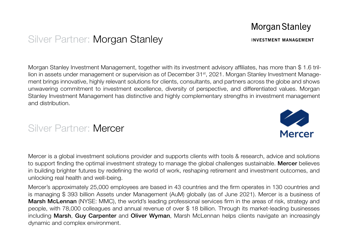#### **Morgan Stanley**

#### Silver Partner: Morgan Stanley

Morgan Stanley Investment Management, together with its investment advisory affiliates, has more than \$ 1.6 trillion in assets under management or supervision as of December 31<sup>st</sup>, 2021. Morgan Stanley Investment Management brings innovative, highly relevant solutions for clients, consultants, and partners across the globe and shows unwavering commitment to investment excellence, diversity of perspective, and differentiated values. Morgan Stanley Investment Management has distinctive and highly complementary strengths in investment management and distribution.

#### Silver Partner: Mercer

Mercer is a global investment solutions provider and supports clients with tools & research, advice and solutions to support finding the optimal investment strategy to manage the global challenges sustainable. Mercer believes in building brighter futures by redefining the world of work, reshaping retirement and investment outcomes, and unlocking real health and well-being.

Mercer's approximately 25,000 employees are based in 43 countries and the firm operates in 130 countries and is managing \$ 393 billion Assets under Management (AuM) globally (as of June 2021). Mercer is a business of Marsh McLennan (NYSE: MMC), the world's leading professional services firm in the areas of risk, strategy and people, with 78,000 colleagues and annual revenue of over \$ 18 billion. Through its market-leading businesses including Marsh, Guy Carpenter and Oliver Wyman, Marsh McLennan helps clients navigate an increasingly dynamic and complex environment.



## **INVESTMENT MANAGEMENT**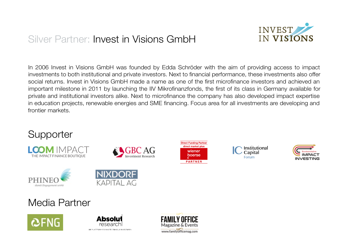### Silver Partner: Invest in Visions GmbH

DIE PLATTFORM FÜR INSTITUTIONELLE INVESTOREN



In 2006 Invest in Visions GmbH was founded by Edda Schröder with the aim of providing access to impact investments to both institutional and private investors. Next to financial performance, these investments also offer social returns. Invest in Visions GmbH made a name as one of the first microfinance investors and achieved an important milestone in 2011 by launching the IIV Mikrofinanzfonds, the first of its class in Germany available for private and institutional investors alike. Next to microfinance the company has also developed impact expertise in education projects, renewable energies and SME financing. Focus area for all investments are developing and frontier markets.



www.familyofficemag.com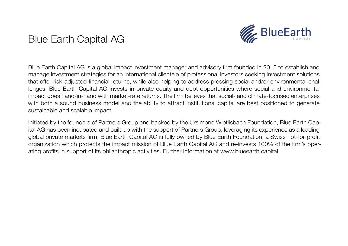#### Blue Earth Capital AG



Blue Earth Capital AG is a global impact investment manager and advisory firm founded in 2015 to establish and manage investment strategies for an international clientele of professional investors seeking investment solutions that offer risk-adjusted financial returns, while also helping to address pressing social and/or environmental challenges. Blue Earth Capital AG invests in private equity and debt opportunities where social and environmental impact goes hand-in-hand with market-rate returns. The firm believes that social- and climate-focused enterprises with both a sound business model and the ability to attract institutional capital are best positioned to generate sustainable and scalable impact.

Initiated by the founders of Partners Group and backed by the Ursimone Wietlisbach Foundation, Blue Earth Capital AG has been incubated and built-up with the support of Partners Group, leveraging its experience as a leading global private markets firm. Blue Earth Capital AG is fully owned by Blue Earth Foundation, a Swiss not-for-profit organization which protects the impact mission of Blue Earth Capital AG and re-invests 100% of the firm's operating profits in support of its philanthropic activities. Further information at [www.blueearth.capital](https://blueearth.capital)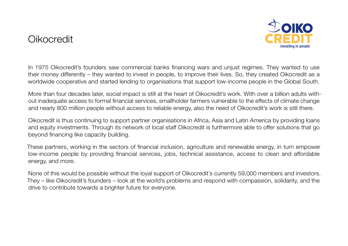#### Oikocredit



In 1975 Oikocredit's founders saw commercial banks financing wars and unjust regimes. They wanted to use their money differently – they wanted to invest in people, to improve their lives. So, they created Oikocredit as a worldwide cooperative and started lending to organisations that support low-income people in the Global South.

More than four decades later, social impact is still at the heart of Oikocredit's work. With over a billion adults without inadequate access to formal financial services, smallholder farmers vulnerable to the effects of climate change and nearly 800 million people without access to reliable energy, also the need of Oikocredit's work is still there.

Oikocredit is thus continuing to support partner organisations in Africa, Asia and Latin America by providing loans and equity investments. Through its network of local staff Oikocredit is furthermore able to offer solutions that go beyond financing like capacity building.

These partners, working in the sectors of financial inclusion, agriculture and renewable energy, in turn empower low-income people by providing financial services, jobs, technical assistance, access to clean and affordable energy, and more.

None of this would be possible without the loyal support of Oikocredit's currently 59,000 members and investors. They – like Oikocredit's founders – look at the world's problems and respond with compassion, solidarity, and the drive to contribute towards a brighter future for everyone.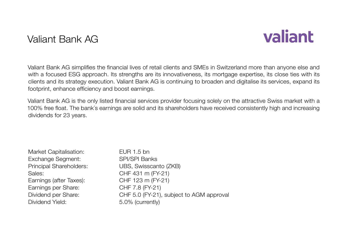#### Valiant Bank AG

# valiant

Valiant Bank AG simplifies the financial lives of retail clients and SMEs in Switzerland more than anyone else and with a focused ESG approach. Its strengths are its innovativeness, its mortgage expertise, its close ties with its clients and its strategy execution. Valiant Bank AG is continuing to broaden and digitalise its services, expand its footprint, enhance efficiency and boost earnings.

Valiant Bank AG is the only listed financial services provider focusing solely on the attractive Swiss market with a 100% free float. The bank´s earnings are solid and its shareholders have received consistently high and increasing dividends for 23 years.

| Market Capitalisation:  | EUR 1.5 bn                               |
|-------------------------|------------------------------------------|
| Exchange Segment:       | <b>SPI/SPI Banks</b>                     |
| Principal Shareholders: | UBS, Swisscanto (ZKB)                    |
| Sales:                  | CHF 431 m (FY-21)                        |
| Earnings (after Taxes): | CHF 123 m (FY-21)                        |
| Earnings per Share:     | CHF 7.8 (FY-21)                          |
| Dividend per Share:     | CHF 5.0 (FY-21), subject to AGM approval |
| Dividend Yield:         | 5.0% (currently)                         |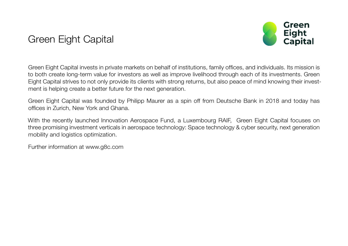### Green Eight Capital



Green Eight Capital invests in private markets on behalf of institutions, family offices, and individuals. Its mission is to both create long-term value for investors as well as improve livelihood through each of its investments. Green Eight Capital strives to not only provide its clients with strong returns, but also peace of mind knowing their investment is helping create a better future for the next generation.

Green Eight Capital was founded by Philipp Maurer as a spin off from Deutsche Bank in 2018 and today has offices in Zurich, New York and Ghana.

With the recently launched Innovation Aerospace Fund, a Luxembourg RAIF, Green Eight Capital focuses on three promising investment verticals in aerospace technology: Space technology & cyber security, next generation mobility and logistics optimization.

Further information at [www.g8c.com](https://g8c.com)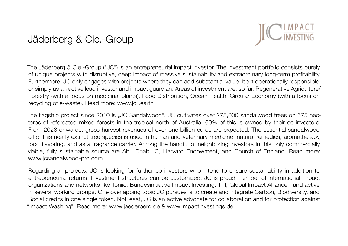#### Jäderberg & Cie.-Group



The Jäderberg & Cie.-Group ("JC") is an entrepreneurial impact investor. The investment portfolio consists purely of unique projects with disruptive, deep impact of massive sustainability and extraordinary long-term profitability. Furthermore, JC only engages with projects where they can add substantial value, be it operationally responsible, or simply as an active lead investor and impact guardian. Areas of investment are, so far, Regenerative Agriculture/ Forestry (with a focus on medicinal plants), Food Distribution, Ocean Health, Circular Economy (with a focus on recycling of e-waste). Read more: [www.jcii.earth](mailto:www.jcii.earth?subject=)

The flagship project since 2010 is "JC Sandalwood". JC cultivates over 275,000 sandalwood trees on 575 hectares of reforested mixed forests in the tropical north of Australia. 60% of this is owned by their co-investors. From 2028 onwards, gross harvest revenues of over one billion euros are expected. The essential sandalwood oil of this nearly extinct tree species is used in human and veterinary medicine, natural remedies, aromatherapy, food flavoring, and as a fragrance carrier. Among the handful of neighboring investors in this only commercially viable, fully sustainable source are Abu Dhabi IC, Harvard Endowment, and Church of England. Read more: [www.jcsandalwood-pro.com](mailto:www.jcsandalwood-pro.com?subject=)

Regarding all projects, JC is looking for further co-investors who intend to ensure sustainability in addition to entrepreneurial returns. Investment structures can be customized. JC is proud member of international impact organizations and networks like Toniic, Bundesinitiative Impact Investing, TTI, Global Impact Alliance - and active in several working groups. One overlapping topic JC pursues is to create and integrate Carbon, Biodiversity, and Social credits in one single token. Not least, JC is an active advocate for collaboration and for protection against "Impact Washing". Read more: [www.jaederberg.de](https://jaederberg.de) & [www.impactinvestings.de](https://www.impactinvestings.de)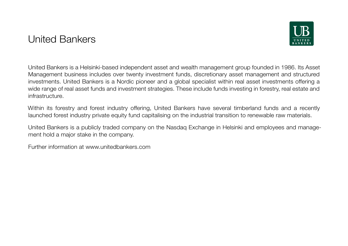#### United Bankers



United Bankers is a Helsinki-based independent asset and wealth management group founded in 1986. Its Asset Management business includes over twenty investment funds, discretionary asset management and structured investments. United Bankers is a Nordic pioneer and a global specialist within real asset investments offering a wide range of real asset funds and investment strategies. These include funds investing in forestry, real estate and infrastructure.

Within its forestry and forest industry offering, United Bankers have several timberland funds and a recently launched forest industry private equity fund capitalising on the industrial transition to renewable raw materials.

United Bankers is a publicly traded company on the Nasdaq Exchange in Helsinki and employees and management hold a major stake in the company.

Further information at [www.unitedbankers.com](https://www.unitedbankers.com/)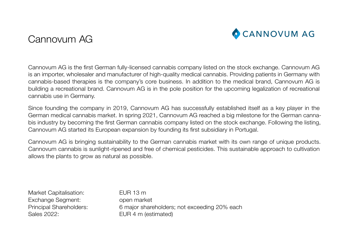#### Cannovum AG



Cannovum AG is the first German fully-licensed cannabis company listed on the stock exchange. Cannovum AG is an importer, wholesaler and manufacturer of high-quality medical cannabis. Providing patients in Germany with cannabis-based therapies is the company's core business. In addition to the medical brand, Cannovum AG is building a recreational brand. Cannovum AG is in the pole position for the upcoming legalization of recreational cannabis use in Germany.

Since founding the company in 2019, Cannovum AG has successfully established itself as a key player in the German medical cannabis market. In spring 2021, Cannovum AG reached a big milestone for the German cannabis industry by becoming the first German cannabis company listed on the stock exchange. Following the listing, Cannovum AG started its European expansion by founding its first subsidiary in Portugal.

Cannovum AG is bringing sustainability to the German cannabis market with its own range of unique products. Cannovum cannabis is sunlight-ripened and free of chemical pesticides. This sustainable approach to cultivation allows the plants to grow as natural as possible.

Market Capitalisation: EUR 13 m Exchange Segment: open market Sales 2022: EUR 4 m (estimated)

Principal Shareholders: 6 major shareholders; not exceeding 20% each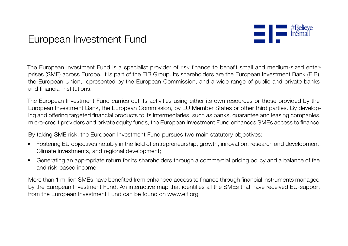#### European Investment Fund



The European Investment Fund is a specialist provider of risk finance to benefit small and medium-sized enterprises (SME) across Europe. It is part of the EIB Group. Its shareholders are the European Investment Bank (EIB), the European Union, represented by the European Commission, and a wide range of public and private banks and financial institutions.

The European Investment Fund carries out its activities using either its own resources or those provided by the European Investment Bank, the European Commission, by EU Member States or other third parties. By developing and offering targeted financial products to its intermediaries, such as banks, guarantee and leasing companies, micro-credit providers and private equity funds, the European Investment Fund enhances SMEs access to finance.

By taking SME risk, the European Investment Fund pursues two main statutory objectives:

- Fostering EU objectives notably in the field of entrepreneurship, growth, innovation, research and development, Climate investments, and regional development;
- Generating an appropriate return for its shareholders through a commercial pricing policy and a balance of fee and risk-based income;

More than 1 million SMEs have benefited from enhanced access to finance through financial instruments managed by the European Investment Fund. An interactive map that identifies all the SMEs that have received EU-support from the European Investment Fund can be found on [www.eif.org](https://www.eif.org)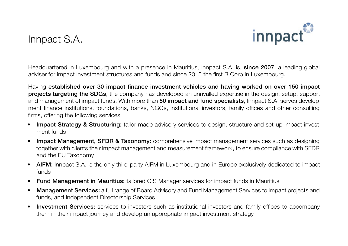#### Innpact S.A.



Headquartered in Luxembourg and with a presence in Mauritius, Innpact S.A. is, since 2007, a leading global adviser for impact investment structures and funds and since 2015 the first B Corp in Luxembourg.

Having established over 30 impact finance investment vehicles and having worked on over 150 impact projects targeting the SDGs, the company has developed an unrivalled expertise in the design, setup, support and management of impact funds. With more than 50 impact and fund specialists, Innpact S.A. serves development finance institutions, foundations, banks, NGOs, institutional investors, family offices and other consulting firms, offering the following services:

- Impact Strategy & Structuring: tailor-made advisory services to design, structure and set-up impact investment funds
- Impact Management, SFDR & Taxonomy: comprehensive impact management services such as designing together with clients their impact management and measurement framework, to ensure compliance with SFDR and the EU Taxonomy
- AIFM: Innpact S.A. is the only third-party AIFM in Luxembourg and in Europe exclusively dedicated to impact funds
- Fund Management in Mauritius: tailored CIS Manager services for impact funds in Mauritius
- Management Services: a full range of Board Advisory and Fund Management Services to impact projects and funds, and Independent Directorship Services
- **Investment Services:** services to investors such as institutional investors and family offices to accompany them in their impact journey and develop an appropriate impact investment strategy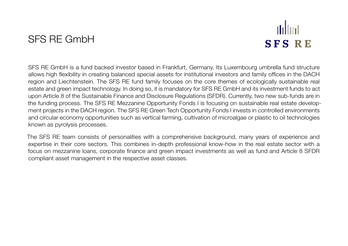#### SFS RE GmbH

## udud **SFS RE**

SFS RE GmbH is a fund backed investor based in Frankfurt, Germany. Its Luxembourg umbrella fund structure allows high flexibility in creating balanced special assets for institutional investors and family offices in the DACH region and Liechtenstein. The SFS RE fund family focuses on the core themes of ecologically sustainable real estate and green impact technology. In doing so, it is mandatory for SFS RE GmbH and its investment funds to act upon Article 8 of the Sustainable Finance and Disclosure Regulations (SFDR). Currently, two new sub-funds are in the funding process. The SFS RE Mezzanine Opportunity Fonds I is focusing on sustainable real estate development projects in the DACH region. The SFS RE Green Tech Opportunity Fonds I invests in controlled environments and circular economy opportunities such as vertical farming, cultivation of microalgae or plastic to oil technologies known as pyrolysis processes.

The SFS RE team consists of personalities with a comprehensive background, many years of experience and expertise in their core sectors. This combines in-depth professional know-how in the real estate sector with a focus on mezzanine loans, corporate finance and green impact investments as well as fund and Article 8 SFDR compliant asset management in the respective asset classes.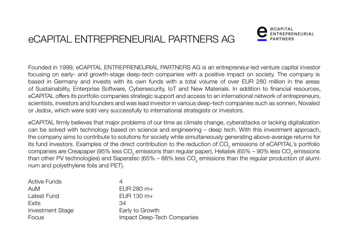## eCAPITAL ENTREPRENEURIAL PARTNERS AG



Founded in 1999, eCAPITAL ENTREPRENEURIAL PARTNERS AG is an entrepreneur-led venture capital investor focusing on early- and growth-stage deep-tech companies with a positive impact on society. The company is based in Germany and invests with its own funds with a total volume of over EUR 280 million in the areas of Sustainability, Enterprise Software, Cybersecurity, IoT and New Materials. In addition to financial resources, eCAPITAL offers its portfolio companies strategic support and access to an international network of entrepreneurs, scientists, investors and founders and was lead investor in various deep-tech companies such as sonnen, Novaled or Jedox, which were sold very successfully to international strategists or investors.

eCAPITAL firmly believes that major problems of our time as climate change, cyberattacks or lacking digitalization can be solved with technology based on science and engineering – deep tech. With this investment approach, the company aims to contribute to solutions for society while simultaneously generating above-average returns for its fund investors. Examples of the direct contribution to the reduction of CO<sub>2</sub> emissions of eCAPITAL's portfolio companies are Creapaper (95% less CO<sub>2</sub> emissions than regular paper), Heliatek (65% – 90% less CO<sub>2</sub> emissions than other PV technologies) and Saperatec (65% – 88% less CO<sub>2</sub> emissions than the regular production of aluminum and polyethylene foils and PET).

| <b>Active Funds</b> | 4                          |
|---------------------|----------------------------|
| AuM                 | EUR 280 $m+$               |
| Latest Fund         | EUR $130 \text{ m}$ +      |
| Exits               | 34.                        |
| Investment Stage    | Early to Growth            |
| Focus               | Impact Deep-Tech Companies |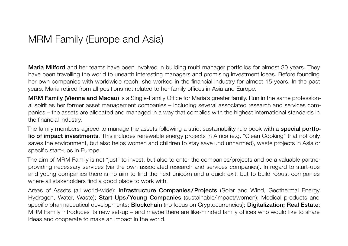#### MRM Family (Europe and Asia)

Maria Milford and her teams have been involved in building multi manager portfolios for almost 30 years. They have been travelling the world to unearth interesting managers and promising investment ideas. Before founding her own companies with worldwide reach, she worked in the financial industry for almost 15 years. In the past years, Maria retired from all positions not related to her family offices in Asia and Europe.

MRM Family (Vienna and Macau) is a Single-Family Office for Maria's greater family. Run in the same professional spirit as her former asset management companies – including several associated research and services companies – the assets are allocated and managed in a way that complies with the highest international standards in the financial industry.

The family members agreed to manage the assets following a strict sustainability rule book with a **special portfo**lio of impact investments. This includes renewable energy projects in Africa (e.g. "Clean Cooking" that not only saves the environment, but also helps women and children to stay save und unharmed), waste projects in Asia or specific start-ups in Europe.

The aim of MRM Family is not "just" to invest, but also to enter the companies/projects and be a valuable partner providing necessary services (via the own associated research and services companies). In regard to start-ups and young companies there is no aim to find the next unicorn and a quick exit, but to build robust companies where all stakeholders find a good place to work with.

Areas of Assets (all world-wide): Infrastructure Companies/Projects (Solar and Wind, Geothermal Energy, Hydrogen, Water, Waste); Start-Ups/Young Companies (sustainable/impact/women); Medical products and specific pharmaceutical developments; **Blockchain** (no focus on Cryptocurrencies); **Digitalization; Real Estate**; MRM Family introduces its new set-up – and maybe there are like-minded family offices who would like to share ideas and cooperate to make an impact in the world.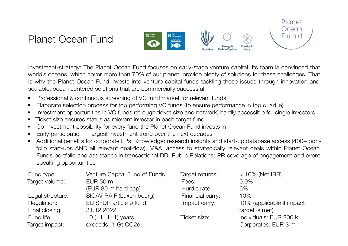#### Planet Ocean Fund



Investment-strategy: The Planet Ocean Fund focuses on early-stage venture capital. Its team is convinced that world's oceans, which cover more than 70% of our planet, provide plenty of solutions for these challenges. That is why the Planet Ocean Fund invests into venture-capital-funds tackling those issues through innovation and scalable, ocean centered solutions that are commercially successful:

- Professional & continuous screening of VC fund market for relevant funds
- Elaborate selection process for top performing VC funds (to ensure performance in top quartile)
- Investment opportunities in VC funds (through ticket size and network) hardly accessible for single Investors
- Ticket size ensures status as relevant investor in each target fund
- Co-investment possibility for every fund the Planet Ocean Fund invests in
- Early participation in largest investment trend over the next decades
- Additional benefits for corporate LPs: Knowledge: research insights and start-up database access (400+ portfolio start-ups AND all relevant deal-flow), M&A: access to strategically relevant deals within Planet Ocean Funds portfolio and assistance in transactional DD, Public Relations: PR coverage of engagement and event speaking opportunities

| Fund type:       | Venture Capital Fund of Funds | Target returns:  | $>10\%$ (Net IRR)         |
|------------------|-------------------------------|------------------|---------------------------|
| Target volume:   | EUR 50 m                      | Fees:            | $0.9\%$                   |
|                  | (EUR 80 m hard cap)           | Hurdle rate:     | 6%                        |
| Legal structure: | SICAV-RAIF (Luxembourg)       | Financial carry: | 10%                       |
| Regulation:      | EU SFDR article 9 fund        | Impact carry:    | 10% (applicable if impact |
| Final closing:   | 31.12.2022                    |                  | target is met)            |
| Fund life:       | $10 (+1 + 1 + 1)$ years       | Ticket size:     | Individuals: EUR 200 k    |
| Target impact:   | exceeds -1 Gt CO2e+           |                  | Corporates: EUR 3 m       |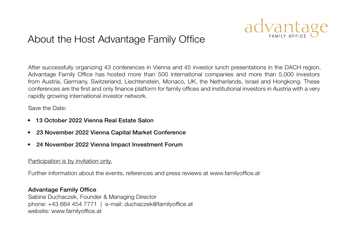

#### About the Host Advantage Family Office

After successfully organizing 43 conferences in Vienna and 45 investor lunch presentations in the DACH region, Advantage Family Office has hosted more than 500 international companies and more than 5,000 investors from Austria, Germany, Switzerland, Liechtenstein, Monaco, UK, the Netherlands, Israel and Hongkong. These conferences are the first and only finance platform for family offices and institutional investors in Austria with a very rapidly growing international investor network.

Save the Date:

- 13 October 2022 Vienna Real Estate Salon
- 23 November 2022 Vienna Capital Market Conference
- 24 November 2022 Vienna Impact Investment Forum

#### Participation is by invitation only.

Further information about the events, references and press reviews at [www.familyoffice.at](https://www.familyofficeday.at)

#### Advantage Family Office

Sabine Duchaczek, Founder & Managing Director phone: +43 664 454 7771 | e-mail: [duchaczek@familyoffice.at](mailto:duchaczek%40familyoffice.at?subject=) website: [www.familyoffice.at](https://www.familyofficeday.at)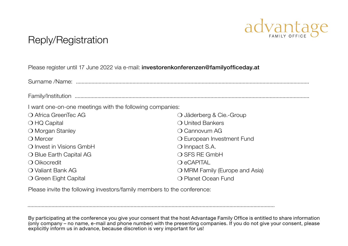

#### Reply/Registration

#### Please register until 17 June 2022 via e-mail: [investorenkonferenzen@familyofficeday.at](mailto:investorenkonferenzen%40familyofficeday.at%0D?subject=)

Surname /Name: ..................................................................................................................................................................... Family/Institution ......................................................................................................................................................................

I want one-on-one meetings with the following companies:

| ○ Jäderberg & Cie.-Group       |  |  |
|--------------------------------|--|--|
| ○ United Bankers               |  |  |
| O Cannovum AG                  |  |  |
| O European Investment Fund     |  |  |
| $\bigcirc$ Innpact S.A.        |  |  |
| ○ SFS RE GmbH                  |  |  |
| $\bigcirc$ eCAPITAL            |  |  |
| O MRM Family (Europe and Asia) |  |  |
| O Planet Ocean Fund            |  |  |
|                                |  |  |

...............................................................................................................................................................................

Please invite the following investors/family members to the conference:

By participating at the conference you give your consent that the host Advantage Family Office is entitled to share information (only company – no name, e-mail and phone number) with the presenting companies. If you do not give your consent, please explicitly inform us in advance, because discretion is very important for us!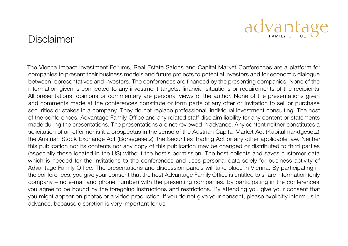#### Disclaimer

The Vienna Impact Investment Forums, Real Estate Salons and Capital Market Conferences are a platform for companies to present their business models and future projects to potential investors and for economic dialogue between representatives and investors. The conferences are financed by the presenting companies. None of the information given is connected to any investment targets, financial situations or requirements of the recipients. All presentations, opinions or commentary are personal views of the author. None of the presentations given and comments made at the conferences constitute or form parts of any offer or invitation to sell or purchase securities or stakes in a company. They do not replace professional, individual investment consulting. The host of the conferences, Advantage Family Office and any related staff disclaim liability for any content or statements made during the presentations. The presentations are not reviewed in advance. Any content neither constitutes a solicitation of an offer nor is it a prospectus in the sense of the Austrian Capital Market Act (Kapitalmarktgesetz), the Austrian Stock Exchange Act (Börsegesetz), the Securities Trading Act or any other applicable law. Neither this publication nor its contents nor any copy of this publication may be changed or distributed to third parties (especially those located in the US) without the host's permission. The host collects and saves customer data which is needed for the invitations to the conferences and uses personal data solely for business activity of Advantage Family Office. The presentations and discussion panels will take place in Vienna. By participating in the conferences, you give your consent that the host Advantage Family Office is entitled to share information (only company – no e-mail and phone number) with the presenting companies. By participating in the conferences, you agree to be bound by the foregoing instructions and restrictions. By attending you give your consent that you might appear on photos or a video production. If you do not give your consent, please explicitly inform us in advance, because discretion is very important for us!